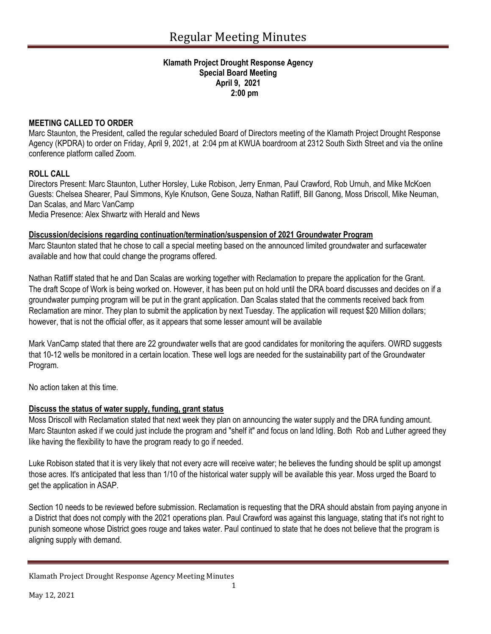#### **Klamath Project Drought Response Agency Special Board Meeting April 9, 2021 2:00 pm**

### **MEETING CALLED TO ORDER**

Marc Staunton, the President, called the regular scheduled Board of Directors meeting of the Klamath Project Drought Response Agency (KPDRA) to order on Friday, April 9, 2021, at 2:04 pm at KWUA boardroom at 2312 South Sixth Street and via the online conference platform called Zoom.

## **ROLL CALL**

Directors Present: Marc Staunton, Luther Horsley, Luke Robison, Jerry Enman, Paul Crawford, Rob Urnuh, and Mike McKoen Guests: Chelsea Shearer, Paul Simmons, Kyle Knutson, Gene Souza, Nathan Ratliff, Bill Ganong, Moss Driscoll, Mike Neuman, Dan Scalas, and Marc VanCamp

Media Presence: Alex Shwartz with Herald and News

## **Discussion/decisions regarding continuation/termination/suspension of 2021 Groundwater Program**

Marc Staunton stated that he chose to call a special meeting based on the announced limited groundwater and surfacewater available and how that could change the programs offered.

Nathan Ratliff stated that he and Dan Scalas are working together with Reclamation to prepare the application for the Grant. The draft Scope of Work is being worked on. However, it has been put on hold until the DRA board discusses and decides on if a groundwater pumping program will be put in the grant application. Dan Scalas stated that the comments received back from Reclamation are minor. They plan to submit the application by next Tuesday. The application will request \$20 Million dollars; however, that is not the official offer, as it appears that some lesser amount will be available

Mark VanCamp stated that there are 22 groundwater wells that are good candidates for monitoring the aquifers. OWRD suggests that 10-12 wells be monitored in a certain location. These well logs are needed for the sustainability part of the Groundwater Program.

No action taken at this time.

# **Discuss the status of water supply, funding, grant status**

Moss Driscoll with Reclamation stated that next week they plan on announcing the water supply and the DRA funding amount. Marc Staunton asked if we could just include the program and "shelf it" and focus on land Idling. Both Rob and Luther agreed they like having the flexibility to have the program ready to go if needed.

Luke Robison stated that it is very likely that not every acre will receive water; he believes the funding should be split up amongst those acres. It's anticipated that less than 1/10 of the historical water supply will be available this year. Moss urged the Board to get the application in ASAP.

Section 10 needs to be reviewed before submission. Reclamation is requesting that the DRA should abstain from paying anyone in a District that does not comply with the 2021 operations plan. Paul Crawford was against this language, stating that it's not right to punish someone whose District goes rouge and takes water. Paul continued to state that he does not believe that the program is aligning supply with demand.

Klamath Project Drought Response Agency Meeting Minutes